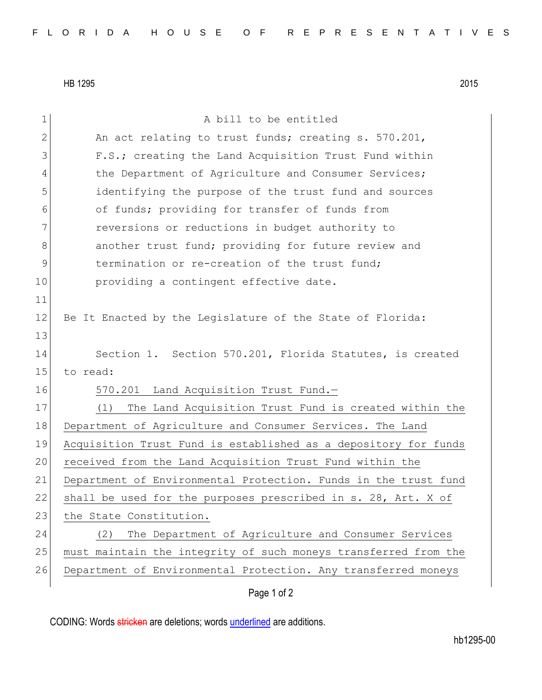HB 1295 2015

| $\mathbf 1$    | A bill to be entitled                                           |
|----------------|-----------------------------------------------------------------|
| $\overline{2}$ | An act relating to trust funds; creating s. 570.201,            |
| 3              | F.S.; creating the Land Acquisition Trust Fund within           |
| 4              | the Department of Agriculture and Consumer Services;            |
| 5              | identifying the purpose of the trust fund and sources           |
| 6              | of funds; providing for transfer of funds from                  |
| 7              | reversions or reductions in budget authority to                 |
| 8              | another trust fund; providing for future review and             |
| 9              | termination or re-creation of the trust fund;                   |
| 10             | providing a contingent effective date.                          |
| 11             |                                                                 |
| 12             | Be It Enacted by the Legislature of the State of Florida:       |
| 13             |                                                                 |
| 14             | Section 1. Section 570.201, Florida Statutes, is created        |
| 15             | to read:                                                        |
| 16             | 570.201 Land Acquisition Trust Fund.-                           |
| 17             | The Land Acquisition Trust Fund is created within the<br>(1)    |
| 18             | Department of Agriculture and Consumer Services. The Land       |
| 19             | Acquisition Trust Fund is established as a depository for funds |
| 20             | received from the Land Acquisition Trust Fund within the        |
| 21             | Department of Environmental Protection. Funds in the trust fund |
| 22             | shall be used for the purposes prescribed in s. 28, Art. X of   |
| 23             | the State Constitution.                                         |
| 24             | The Department of Agriculture and Consumer Services<br>(2)      |
| 25             | must maintain the integrity of such moneys transferred from the |
| 26             | Department of Environmental Protection. Any transferred moneys  |
|                | Page 1 of 2                                                     |

CODING: Words stricken are deletions; words underlined are additions.